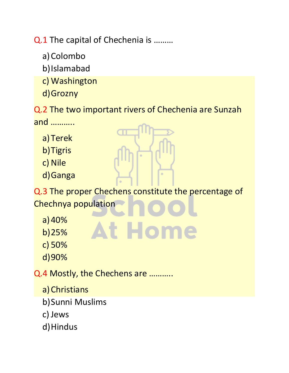Q.1 The capital of Chechenia is ………

- a)Colombo
- b)Islamabad
- c) Washington
- d)Grozny

Q.2 The two important rivers of Chechenia are Sunzah and ………..

- a)Terek
- b)Tigris
- c) Nile
- d)Ganga

Q.3 The proper Chechens constitute the percentage of Chechnya population

- a)40%
- b)25%
- **At Home**
- d)90%

c) 50%

Q.4 Mostly, the Chechens are ………..

- a)Christians
- b)Sunni Muslims
- c) Jews
- d) Hindus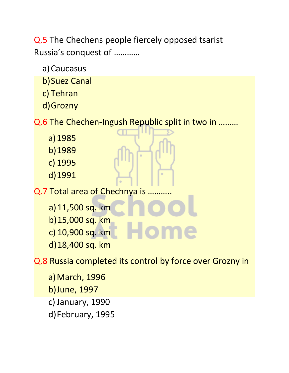Q.5 The Chechens people fiercely opposed tsarist Russia's conquest of …………

a)Caucasus

b)Suez Canal

c) Tehran

d)Grozny

Q.6 The Chechen-Ingush Republic split in two in ………

- a)1985
- b)1989
- c) 1995
- d)1991

Q.7 Total area of Chechnya is ………..

a)11,500 sq. km b)15,000 sq. km c) 10,900 sq. km d)18,400 sq. km

Q.8 Russia completed its control by force over Grozny in

a)March, 1996 b)June, 1997 c) January, 1990 d)February, 1995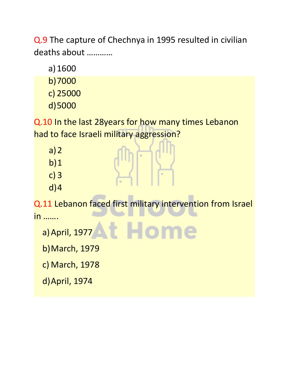Q.9 The capture of Chechnya in 1995 resulted in civilian deaths about …………

a)1600

- b)7000
- c) 25000
- d)5000

Q.10 In the last 28years for how many times Lebanon had to face Israeli military aggression?

- $a)2$
- $b)1$
- c) 3
- d)4

Q.11 Lebanon faced first military intervention from Israel in …….

a)April, 1977

b)March, 1979

c) March, 1978

d)April, 1974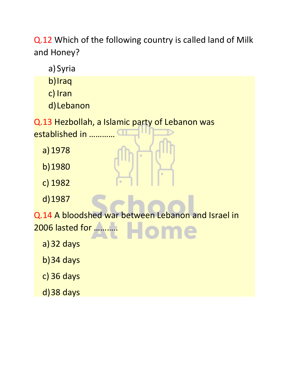Q.12 Which of the following country is called land of Milk and Honey?

a) Syria

b)Iraq

c) Iran

d)Lebanon

Q.13 Hezbollah, a Islamic party of Lebanon was established in …………

a)1978

b)1980

c) 1982

d)1987

Q.14 A bloodshed war between Lebanon and Israel in 2006 lasted for ………..

a)32 days

b)34 days

c) 36 days

d)38 days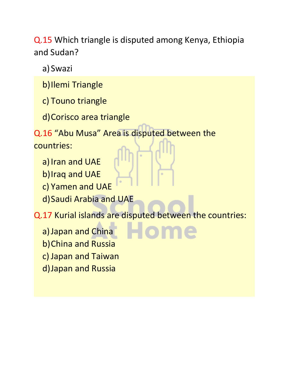Q.15 Which triangle is disputed among Kenya, Ethiopia and Sudan?

a) Swazi

- b)Ilemi Triangle
- c) Touno triangle
- d)Corisco area triangle

Q.16 "Abu Musa" Area is disputed between the countries:

- a) Iran and UAE b)Iraq and UAE
- c) Yamen and UAE
- d)Saudi Arabia and UAE

Q.17 Kurial islands are disputed between the countries:

a) Japan and China b)China and Russia c) Japan and Taiwan d)Japan and Russia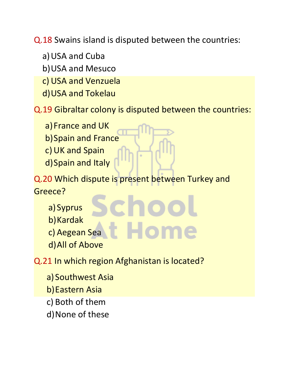Q.18 Swains island is disputed between the countries:

- a)USA and Cuba
- b)USA and Mesuco
- c) USA and Venzuela
- d)USA and Tokelau

Q.19 Gibraltar colony is disputed between the countries:

- a) France and UK
- b)Spain and France
- c) UK and Spain
- d)Spain and Italy

Q.20 Which dispute is present between Turkey and Greece?

- a) Syprus
- b)Kardak
- c) Aegean Sea
- d)All of Above

Q.21 In which region Afghanistan is located?

- a) Southwest Asia
- b)Eastern Asia
- c) Both of them
- d)None of these